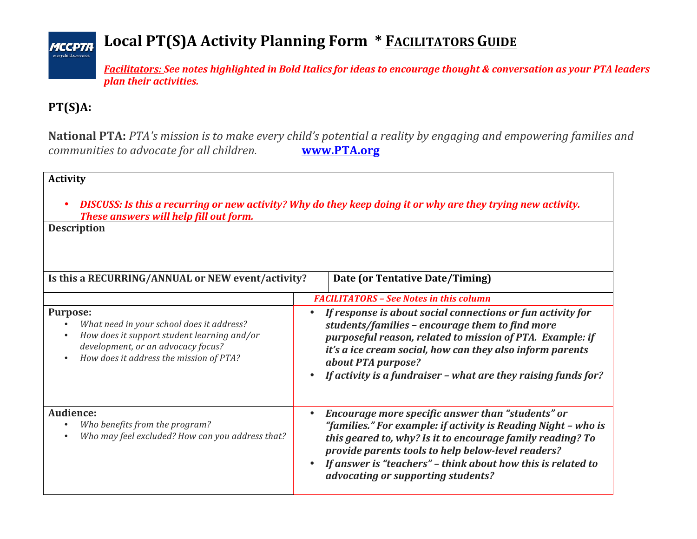## Local PT(S)A Activity Planning Form \* FACILITATORS GUIDE

*Facilitators: See notes highlighted in Bold Italics for ideas to encourage thought & conversation as your PTA leaders plan their activities.*

## **PT(S)A:**

**MCCPTA** 

**National PTA:** *PTA's mission is to make every child's potential a reality by engaging and empowering families and communities to advocate for all children.* **www.PTA.org** 

## **Activity**

• *DISCUSS: Is this a recurring or new activity? Why do they keep doing it or why are they trying new activity.* **These answers will help fill out form.** 

**Description** •

| Is this a RECURRING/ANNUAL or NEW event/activity?                                                                                                                                            | Date (or Tentative Date/Timing)                                                                                                                                                                                                                                                                                                               |  |
|----------------------------------------------------------------------------------------------------------------------------------------------------------------------------------------------|-----------------------------------------------------------------------------------------------------------------------------------------------------------------------------------------------------------------------------------------------------------------------------------------------------------------------------------------------|--|
|                                                                                                                                                                                              | <b>FACILITATORS - See Notes in this column</b>                                                                                                                                                                                                                                                                                                |  |
| <b>Purpose:</b><br>What need in your school does it address?<br>How does it support student learning and/or<br>development, or an advocacy focus?<br>How does it address the mission of PTA? | If response is about social connections or fun activity for<br>students/families - encourage them to find more<br>purposeful reason, related to mission of PTA. Example: if<br>it's a ice cream social, how can they also inform parents<br>about PTA purpose?<br>If activity is a fundraiser - what are they raising funds for?              |  |
| Audience:<br>Who benefits from the program?<br>Who may feel excluded? How can you address that?                                                                                              | Encourage more specific answer than "students" or<br>"families." For example: if activity is Reading Night - who is<br>this geared to, why? Is it to encourage family reading? To<br>provide parents tools to help below-level readers?<br>If answer is "teachers" - think about how this is related to<br>advocating or supporting students? |  |